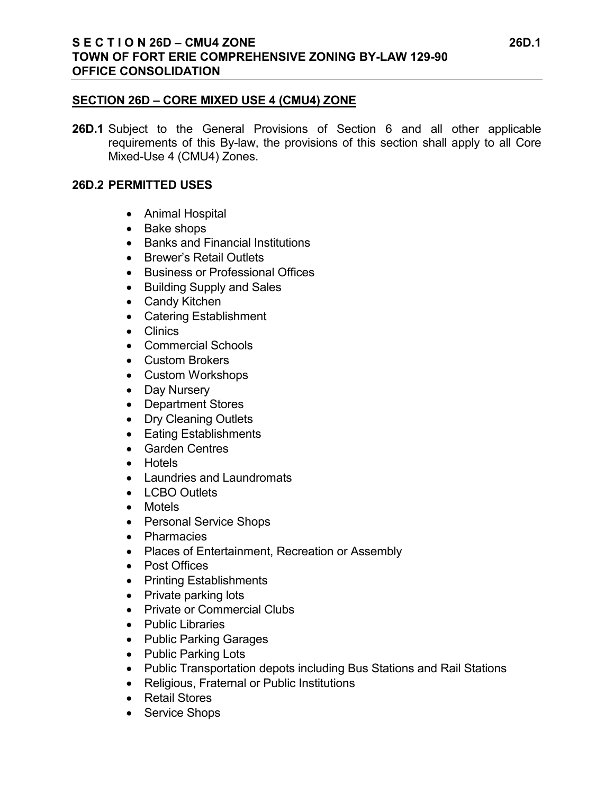#### **SECTION 26D – CORE MIXED USE 4 (CMU4) ZONE**

**26D.1** Subject to the General Provisions of Section 6 and all other applicable requirements of this By-law, the provisions of this section shall apply to all Core Mixed-Use 4 (CMU4) Zones.

#### **26D.2 PERMITTED USES**

- Animal Hospital
- Bake shops
- Banks and Financial Institutions
- Brewer's Retail Outlets
- Business or Professional Offices
- Building Supply and Sales
- Candy Kitchen
- Catering Establishment
- Clinics
- Commercial Schools
- Custom Brokers
- Custom Workshops
- Day Nursery
- Department Stores
- Dry Cleaning Outlets
- Eating Establishments
- Garden Centres
- Hotels
- Laundries and Laundromats
- LCBO Outlets
- Motels
- Personal Service Shops
- Pharmacies
- Places of Entertainment, Recreation or Assembly
- Post Offices
- Printing Establishments
- Private parking lots
- Private or Commercial Clubs
- Public Libraries
- Public Parking Garages
- Public Parking Lots
- Public Transportation depots including Bus Stations and Rail Stations
- Religious, Fraternal or Public Institutions
- Retail Stores
- Service Shops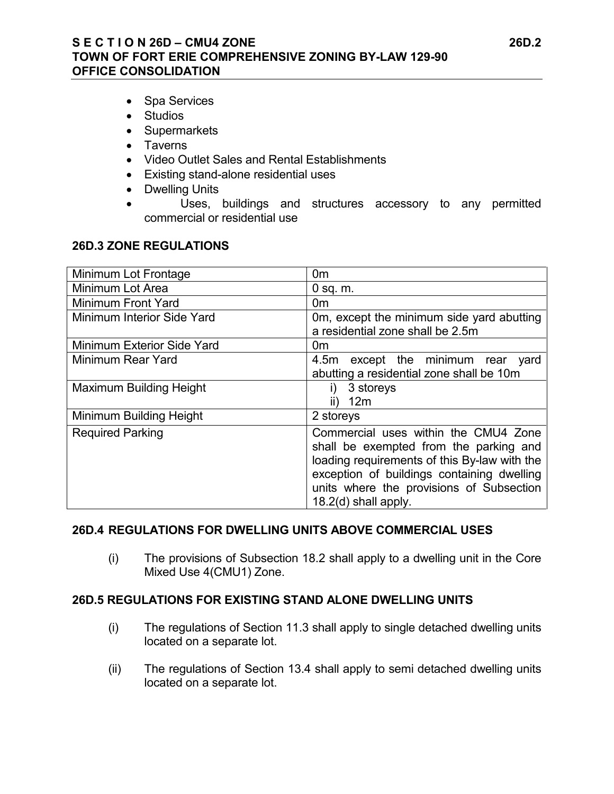## **S E C T I O N 26D – CMU4 ZONE 26D.2 TOWN OF FORT ERIE COMPREHENSIVE ZONING BY-LAW 129-90 OFFICE CONSOLIDATION**

- Spa Services
- Studios
- Supermarkets
- Taverns
- Video Outlet Sales and Rental Establishments
- Existing stand-alone residential uses
- Dwelling Units
- Uses, buildings and structures accessory to any permitted commercial or residential use

## **26D.3 ZONE REGULATIONS**

| Minimum Lot Frontage           | 0 <sub>m</sub>                               |
|--------------------------------|----------------------------------------------|
| Minimum Lot Area               | $0$ sq. $m$ .                                |
| Minimum Front Yard             | 0 <sub>m</sub>                               |
| Minimum Interior Side Yard     | Om, except the minimum side yard abutting    |
|                                | a residential zone shall be 2.5m             |
| Minimum Exterior Side Yard     | 0m                                           |
| Minimum Rear Yard              | 4.5m except the minimum rear yard            |
|                                | abutting a residential zone shall be 10m     |
| <b>Maximum Building Height</b> | 3 storeys                                    |
|                                | 12m<br>II)                                   |
| Minimum Building Height        | 2 storeys                                    |
| <b>Required Parking</b>        | Commercial uses within the CMU4 Zone         |
|                                | shall be exempted from the parking and       |
|                                | loading requirements of this By-law with the |
|                                | exception of buildings containing dwelling   |
|                                | units where the provisions of Subsection     |
|                                | 18.2(d) shall apply.                         |

## **26D.4 REGULATIONS FOR DWELLING UNITS ABOVE COMMERCIAL USES**

(i) The provisions of Subsection 18.2 shall apply to a dwelling unit in the Core Mixed Use 4(CMU1) Zone.

## **26D.5 REGULATIONS FOR EXISTING STAND ALONE DWELLING UNITS**

- (i) The regulations of Section 11.3 shall apply to single detached dwelling units located on a separate lot.
- (ii) The regulations of Section 13.4 shall apply to semi detached dwelling units located on a separate lot.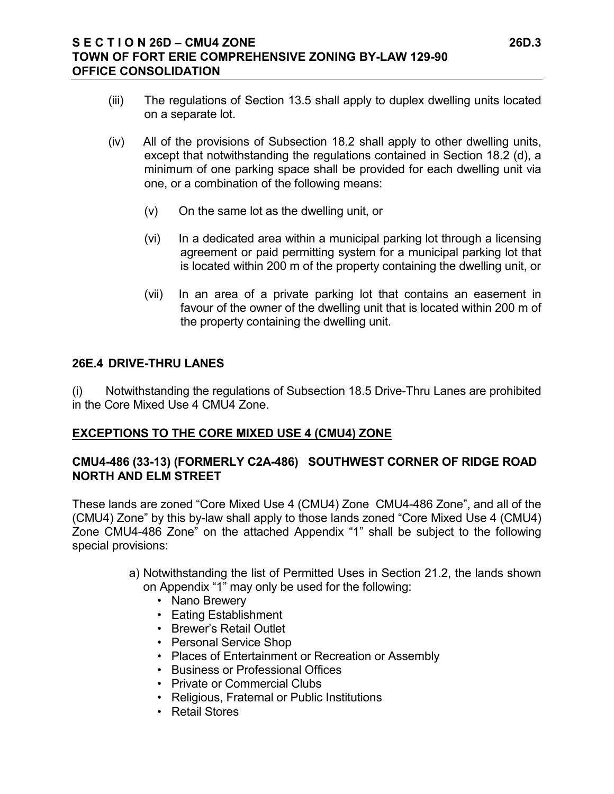- (iii) The regulations of Section 13.5 shall apply to duplex dwelling units located on a separate lot.
- (iv) All of the provisions of Subsection 18.2 shall apply to other dwelling units, except that notwithstanding the regulations contained in Section 18.2 (d), a minimum of one parking space shall be provided for each dwelling unit via one, or a combination of the following means:
	- (v) On the same lot as the dwelling unit, or
	- (vi) In a dedicated area within a municipal parking lot through a licensing agreement or paid permitting system for a municipal parking lot that is located within 200 m of the property containing the dwelling unit, or
	- (vii) In an area of a private parking lot that contains an easement in favour of the owner of the dwelling unit that is located within 200 m of the property containing the dwelling unit.

# **26E.4 DRIVE-THRU LANES**

(i) Notwithstanding the regulations of Subsection 18.5 Drive-Thru Lanes are prohibited in the Core Mixed Use 4 CMU4 Zone.

# **EXCEPTIONS TO THE CORE MIXED USE 4 (CMU4) ZONE**

# **CMU4-486 (33-13) (FORMERLY C2A-486) SOUTHWEST CORNER OF RIDGE ROAD NORTH AND ELM STREET**

These lands are zoned "Core Mixed Use 4 (CMU4) Zone CMU4-486 Zone", and all of the (CMU4) Zone" by this by-law shall apply to those lands zoned "Core Mixed Use 4 (CMU4) Zone CMU4-486 Zone" on the attached Appendix "1" shall be subject to the following special provisions:

- a) Notwithstanding the list of Permitted Uses in Section 21.2, the lands shown on Appendix "1" may only be used for the following:
	- Nano Brewery
	- Eating Establishment
	- Brewer's Retail Outlet
	- Personal Service Shop
	- Places of Entertainment or Recreation or Assembly
	- Business or Professional Offices
	- Private or Commercial Clubs
	- Religious, Fraternal or Public Institutions
	- Retail Stores